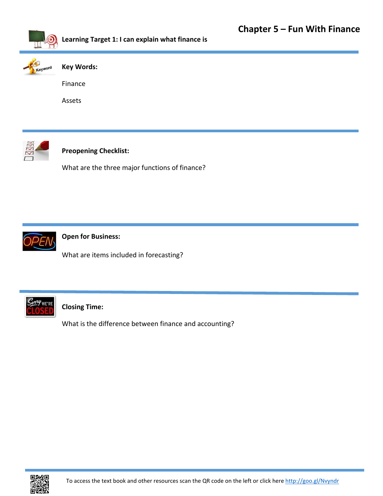

**Learning Target 1: I can explain what finance is**



## **Key Words:**

Finance

Assets



# **Preopening Checklist:**

What are the three major functions of finance?



**Open for Business:**

What are items included in forecasting?



**Closing Time:** 

What is the difference between finance and accounting?

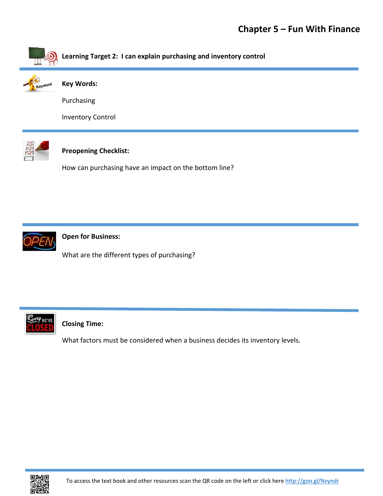

**Learning Target 2: I can explain purchasing and inventory control**



**Key Words:**

Purchasing

Inventory Control



# **Preopening Checklist:**

How can purchasing have an impact on the bottom line?



**Open for Business:**

What are the different types of purchasing?



# **Closing Time:**

What factors must be considered when a business decides its inventory levels.